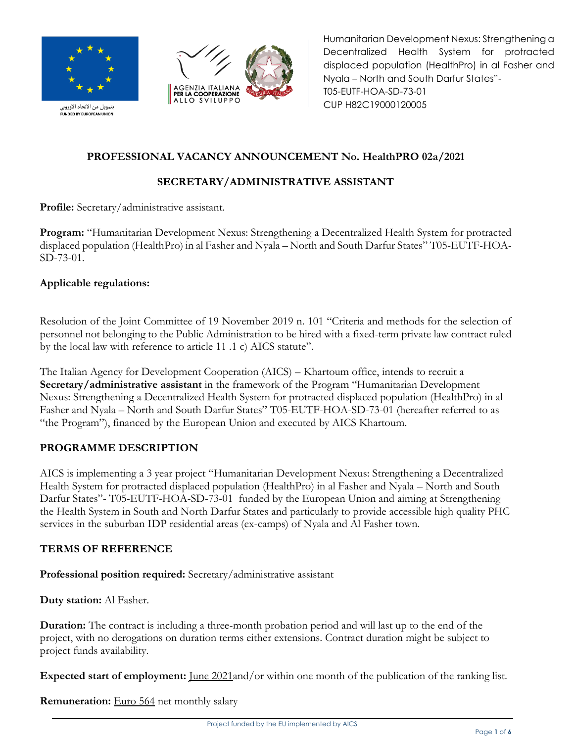

بتمويل من الاتحاد الاوروبي<br>FUNDED BY EUROPEAN UNION



Humanitarian Development Nexus: Strengthening a Decentralized Health System for protracted displaced population (HealthPro) in al Fasher and Nyala – North and South Darfur States"- T05-EUTF-HOA-SD-73-01 CUP H82C19000120005

# **PROFESSIONAL VACANCY ANNOUNCEMENT No. HealthPRO 02a/2021**

# **SECRETARY/ADMINISTRATIVE ASSISTANT**

**Profile:** Secretary/administrative assistant.

**Program:** "Humanitarian Development Nexus: Strengthening a Decentralized Health System for protracted displaced population (HealthPro) in al Fasher and Nyala – North and South Darfur States" T05-EUTF-HOA-SD-73-01.

### **Applicable regulations:**

Resolution of the Joint Committee of 19 November 2019 n. 101 "Criteria and methods for the selection of personnel not belonging to the Public Administration to be hired with a fixed-term private law contract ruled by the local law with reference to article 11 .1 c) AICS statute".

The Italian Agency for Development Cooperation (AICS) – Khartoum office, intends to recruit a **Secretary/administrative assistant** in the framework of the Program "Humanitarian Development Nexus: Strengthening a Decentralized Health System for protracted displaced population (HealthPro) in al Fasher and Nyala – North and South Darfur States" T05-EUTF-HOA-SD-73-01 (hereafter referred to as "the Program"), financed by the European Union and executed by AICS Khartoum.

### **PROGRAMME DESCRIPTION**

AICS is implementing a 3 year project "Humanitarian Development Nexus: Strengthening a Decentralized Health System for protracted displaced population (HealthPro) in al Fasher and Nyala – North and South Darfur States" - T05-EUTF-HOA-SD-73-01 funded by the European Union and aiming at Strengthening the Health System in South and North Darfur States and particularly to provide accessible high quality PHC services in the suburban IDP residential areas (ex-camps) of Nyala and Al Fasher town.

### **TERMS OF REFERENCE**

**Professional position required:** Secretary/administrative assistant

**Duty station:** Al Fasher.

**Duration:** The contract is including a three-month probation period and will last up to the end of the project, with no derogations on duration terms either extensions. Contract duration might be subject to project funds availability.

**Expected start of employment:** <u>June 2021</u>and/or within one month of the publication of the ranking list.

**Remuneration:** Euro 564 net monthly salary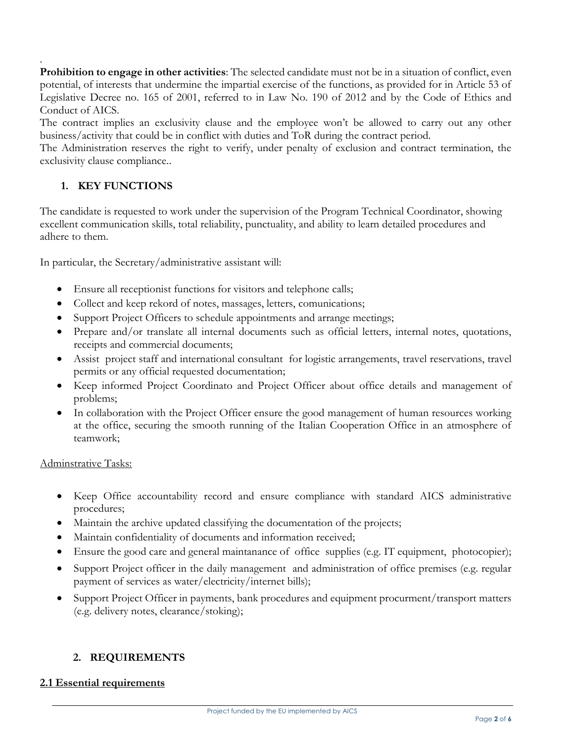. **Prohibition to engage in other activities**: The selected candidate must not be in a situation of conflict, even potential, of interests that undermine the impartial exercise of the functions, as provided for in Article 53 of Legislative Decree no. 165 of 2001, referred to in Law No. 190 of 2012 and by the Code of Ethics and Conduct of AICS.

The contract implies an exclusivity clause and the employee won't be allowed to carry out any other business/activity that could be in conflict with duties and ToR during the contract period.

The Administration reserves the right to verify, under penalty of exclusion and contract termination, the exclusivity clause compliance..

### **1. KEY FUNCTIONS**

The candidate is requested to work under the supervision of the Program Technical Coordinator, showing excellent communication skills, total reliability, punctuality, and ability to learn detailed procedures and adhere to them.

In particular, the Secretary/administrative assistant will:

- Ensure all receptionist functions for visitors and telephone calls;
- Collect and keep rekord of notes, massages, letters, comunications;
- Support Project Officers to schedule appointments and arrange meetings;
- Prepare and/or translate all internal documents such as official letters, internal notes, quotations, receipts and commercial documents;
- Assist project staff and international consultant for logistic arrangements, travel reservations, travel permits or any official requested documentation;
- Keep informed Project Coordinato and Project Officer about office details and management of problems;
- In collaboration with the Project Officer ensure the good management of human resources working at the office, securing the smooth running of the Italian Cooperation Office in an atmosphere of teamwork;

#### Adminstrative Tasks:

- Keep Office accountability record and ensure compliance with standard AICS administrative procedures;
- Maintain the archive updated classifying the documentation of the projects;
- Maintain confidentiality of documents and information received;
- Ensure the good care and general maintanance of office supplies (e.g. IT equipment, photocopier);
- Support Project officer in the daily management and administration of office premises (e.g. regular payment of services as water/electricity/internet bills);
- Support Project Officer in payments, bank procedures and equipment procurment/transport matters (e.g. delivery notes, clearance/stoking);

### **2. REQUIREMENTS**

#### **2.1 Essential requirements**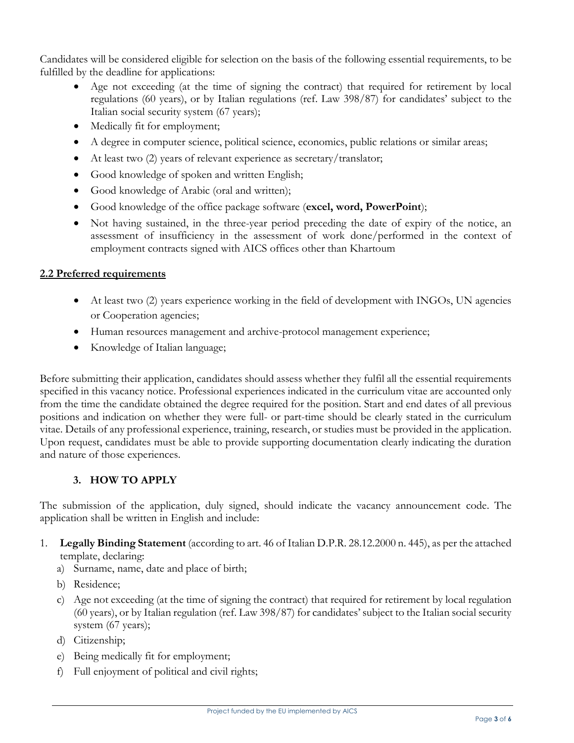Candidates will be considered eligible for selection on the basis of the following essential requirements, to be fulfilled by the deadline for applications:

- Age not exceeding (at the time of signing the contract) that required for retirement by local regulations (60 years), or by Italian regulations (ref. Law 398/87) for candidates' subject to the Italian social security system (67 years);
- Medically fit for employment;
- A degree in computer science, political science, economics, public relations or similar areas;
- At least two (2) years of relevant experience as secretary/translator;
- Good knowledge of spoken and written English;
- Good knowledge of Arabic (oral and written);
- Good knowledge of the office package software (**excel, word, PowerPoint**);
- Not having sustained, in the three-year period preceding the date of expiry of the notice, an assessment of insufficiency in the assessment of work done/performed in the context of employment contracts signed with AICS offices other than Khartoum

### **2.2 Preferred requirements**

- At least two (2) years experience working in the field of development with INGOs, UN agencies or Cooperation agencies;
- Human resources management and archive-protocol management experience;
- Knowledge of Italian language;

Before submitting their application, candidates should assess whether they fulfil all the essential requirements specified in this vacancy notice. Professional experiences indicated in the curriculum vitae are accounted only from the time the candidate obtained the degree required for the position. Start and end dates of all previous positions and indication on whether they were full- or part-time should be clearly stated in the curriculum vitae. Details of any professional experience, training, research, or studies must be provided in the application. Upon request, candidates must be able to provide supporting documentation clearly indicating the duration and nature of those experiences.

### **3. HOW TO APPLY**

The submission of the application, duly signed, should indicate the vacancy announcement code. The application shall be written in English and include:

- 1. **Legally Binding Statement** (according to art. 46 of Italian D.P.R. 28.12.2000 n. 445), as per the attached template, declaring:
	- a) Surname, name, date and place of birth;
	- b) Residence;
	- c) Age not exceeding (at the time of signing the contract) that required for retirement by local regulation (60 years), or by Italian regulation (ref. Law 398/87) for candidates' subject to the Italian social security system (67 years);
	- d) Citizenship;
	- e) Being medically fit for employment;
	- f) Full enjoyment of political and civil rights;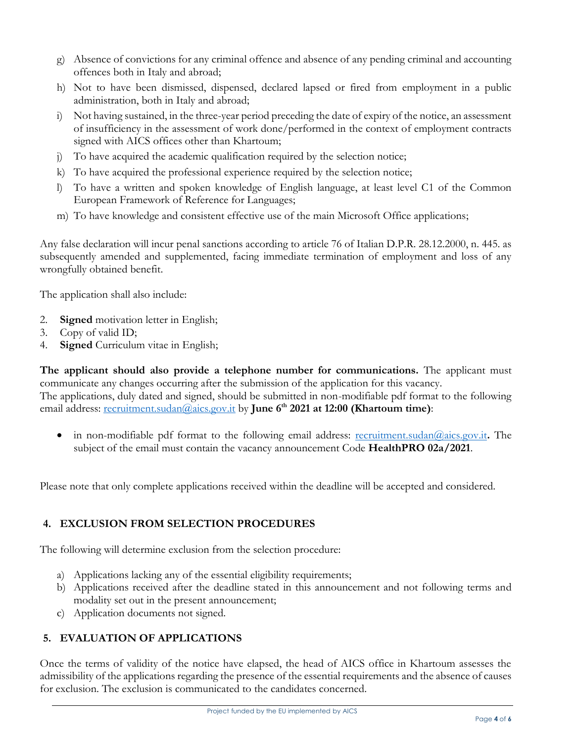- g) Absence of convictions for any criminal offence and absence of any pending criminal and accounting offences both in Italy and abroad;
- h) Not to have been dismissed, dispensed, declared lapsed or fired from employment in a public administration, both in Italy and abroad;
- i) Not having sustained, in the three-year period preceding the date of expiry of the notice, an assessment of insufficiency in the assessment of work done/performed in the context of employment contracts signed with AICS offices other than Khartoum;
- j) To have acquired the academic qualification required by the selection notice;
- k) To have acquired the professional experience required by the selection notice;
- l) To have a written and spoken knowledge of English language, at least level C1 of the Common European Framework of Reference for Languages;
- m) To have knowledge and consistent effective use of the main Microsoft Office applications;

Any false declaration will incur penal sanctions according to article 76 of Italian D.P.R. 28.12.2000, n. 445. as subsequently amended and supplemented, facing immediate termination of employment and loss of any wrongfully obtained benefit.

The application shall also include:

- 2. **Signed** motivation letter in English;
- 3. Copy of valid ID;
- 4. **Signed** Curriculum vitae in English;

**The applicant should also provide a telephone number for communications.** The applicant must communicate any changes occurring after the submission of the application for this vacancy. The applications, duly dated and signed, should be submitted in non-modifiable pdf format to the following email address: [recruitment.sudan@aics.gov.it](mailto:recruitment.sudan@aics.gov.it) by **June 6 th 2021 at 12:00 (Khartoum time)**:

 in non-modifiable pdf format to the following email address: [recruitment.sudan@aics.gov.it](mailto:recruitment.sudan@aics.gov.it)**.** The subject of the email must contain the vacancy announcement Code **HealthPRO 02a/2021**.

Please note that only complete applications received within the deadline will be accepted and considered.

# **4. EXCLUSION FROM SELECTION PROCEDURES**

The following will determine exclusion from the selection procedure:

- a) Applications lacking any of the essential eligibility requirements;
- b) Applications received after the deadline stated in this announcement and not following terms and modality set out in the present announcement;
- c) Application documents not signed.

# **5. EVALUATION OF APPLICATIONS**

Once the terms of validity of the notice have elapsed, the head of AICS office in Khartoum assesses the admissibility of the applications regarding the presence of the essential requirements and the absence of causes for exclusion. The exclusion is communicated to the candidates concerned.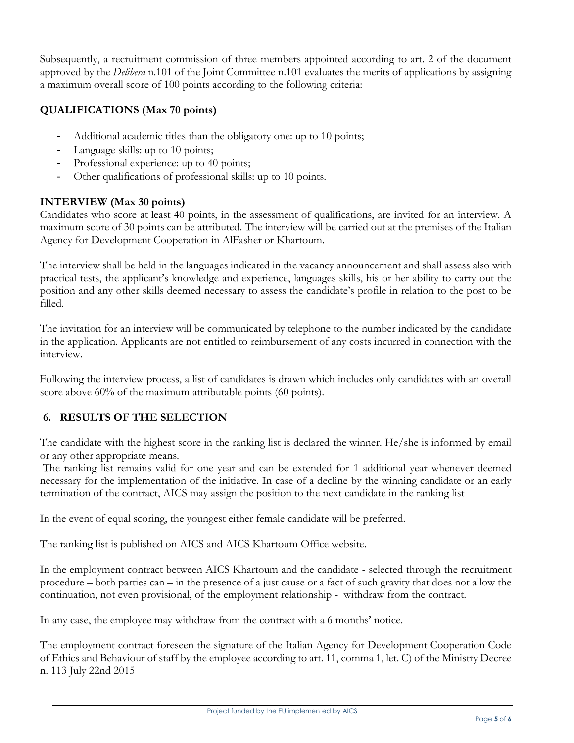Subsequently, a recruitment commission of three members appointed according to art. 2 of the document approved by the *Delibera* n.101 of the Joint Committee n.101 evaluates the merits of applications by assigning a maximum overall score of 100 points according to the following criteria:

## **QUALIFICATIONS (Max 70 points)**

- *-* Additional academic titles than the obligatory one: up to 10 points;
- *-* Language skills: up to 10 points;
- *-* Professional experience: up to 40 points;
- *-* Other qualifications of professional skills: up to 10 points.

## **INTERVIEW (Max 30 points)**

Candidates who score at least 40 points, in the assessment of qualifications, are invited for an interview. A maximum score of 30 points can be attributed. The interview will be carried out at the premises of the Italian Agency for Development Cooperation in AlFasher or Khartoum.

The interview shall be held in the languages indicated in the vacancy announcement and shall assess also with practical tests, the applicant's knowledge and experience, languages skills, his or her ability to carry out the position and any other skills deemed necessary to assess the candidate's profile in relation to the post to be filled.

The invitation for an interview will be communicated by telephone to the number indicated by the candidate in the application. Applicants are not entitled to reimbursement of any costs incurred in connection with the interview.

Following the interview process, a list of candidates is drawn which includes only candidates with an overall score above 60% of the maximum attributable points (60 points).

# **6. RESULTS OF THE SELECTION**

The candidate with the highest score in the ranking list is declared the winner. He/she is informed by email or any other appropriate means.

The ranking list remains valid for one year and can be extended for 1 additional year whenever deemed necessary for the implementation of the initiative. In case of a decline by the winning candidate or an early termination of the contract, AICS may assign the position to the next candidate in the ranking list

In the event of equal scoring, the youngest either female candidate will be preferred.

The ranking list is published on AICS and AICS Khartoum Office website.

In the employment contract between AICS Khartoum and the candidate - selected through the recruitment procedure – both parties can – in the presence of a just cause or a fact of such gravity that does not allow the continuation, not even provisional, of the employment relationship - withdraw from the contract.

In any case, the employee may withdraw from the contract with a 6 months' notice.

The employment contract foreseen the signature of the Italian Agency for Development Cooperation Code of Ethics and Behaviour of staff by the employee according to art. 11, comma 1, let. C) of the Ministry Decree n. 113 July 22nd 2015